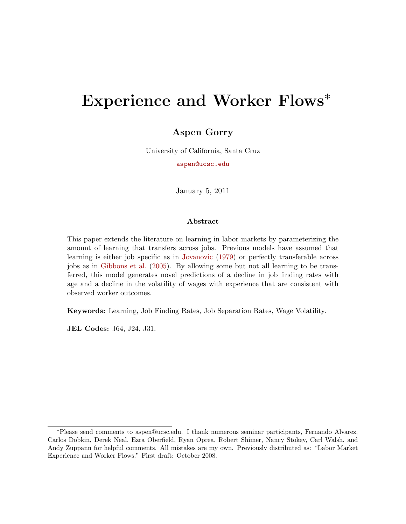# Experience and Worker Flows<sup>\*</sup>

### Aspen Gorry

University of California, Santa Cruz

[aspen@ucsc.edu](mailto:cgorry@ucsc.edu)

January 5, 2011

#### Abstract

This paper extends the literature on learning in labor markets by parameterizing the amount of learning that transfers across jobs. Previous models have assumed that learning is either job specific as in [Jovanovic](#page-36-0) [\(1979\)](#page-36-0) or perfectly transferable across jobs as in [Gibbons et al.](#page-36-1) [\(2005\)](#page-36-1). By allowing some but not all learning to be transferred, this model generates novel predictions of a decline in job finding rates with age and a decline in the volatility of wages with experience that are consistent with observed worker outcomes.

Keywords: Learning, Job Finding Rates, Job Separation Rates, Wage Volatility.

JEL Codes: J64, J24, J31.

<sup>∗</sup>Please send comments to aspen@ucsc.edu. I thank numerous seminar participants, Fernando Alvarez, Carlos Dobkin, Derek Neal, Ezra Oberfield, Ryan Oprea, Robert Shimer, Nancy Stokey, Carl Walsh, and Andy Zuppann for helpful comments. All mistakes are my own. Previously distributed as: "Labor Market Experience and Worker Flows." First draft: October 2008.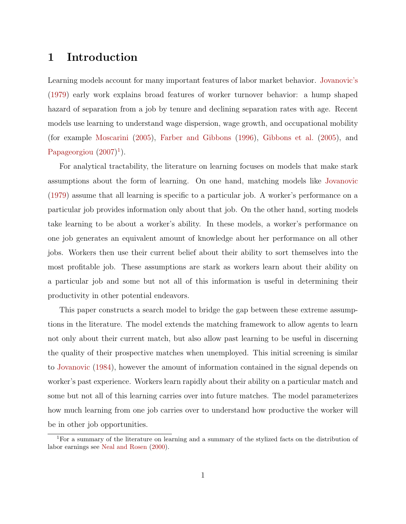### 1 Introduction

Learning models account for many important features of labor market behavior. [Jovanovic'](#page-36-0)s [\(1979\)](#page-36-0) early work explains broad features of worker turnover behavior: a hump shaped hazard of separation from a job by tenure and declining separation rates with age. Recent models use learning to understand wage dispersion, wage growth, and occupational mobility (for example [Moscarini](#page-36-2) [\(2005\)](#page-36-2), [Farber and Gibbons](#page-36-3) [\(1996\)](#page-36-3), [Gibbons et al.](#page-36-1) [\(2005\)](#page-36-1), and [Papageorgiou](#page-36-4)  $(2007)^1$  $(2007)^1$  $(2007)^1$ .

For analytical tractability, the literature on learning focuses on models that make stark assumptions about the form of learning. On one hand, matching models like [Jovanovic](#page-36-0) [\(1979\)](#page-36-0) assume that all learning is specific to a particular job. A worker's performance on a particular job provides information only about that job. On the other hand, sorting models take learning to be about a worker's ability. In these models, a worker's performance on one job generates an equivalent amount of knowledge about her performance on all other jobs. Workers then use their current belief about their ability to sort themselves into the most profitable job. These assumptions are stark as workers learn about their ability on a particular job and some but not all of this information is useful in determining their productivity in other potential endeavors.

This paper constructs a search model to bridge the gap between these extreme assumptions in the literature. The model extends the matching framework to allow agents to learn not only about their current match, but also allow past learning to be useful in discerning the quality of their prospective matches when unemployed. This initial screening is similar to [Jovanovic](#page-36-5) [\(1984\)](#page-36-5), however the amount of information contained in the signal depends on worker's past experience. Workers learn rapidly about their ability on a particular match and some but not all of this learning carries over into future matches. The model parameterizes how much learning from one job carries over to understand how productive the worker will be in other job opportunities.

<span id="page-1-0"></span><sup>1</sup>For a summary of the literature on learning and a summary of the stylized facts on the distribution of labor earnings see [Neal and Rosen](#page-36-6) [\(2000\)](#page-36-6).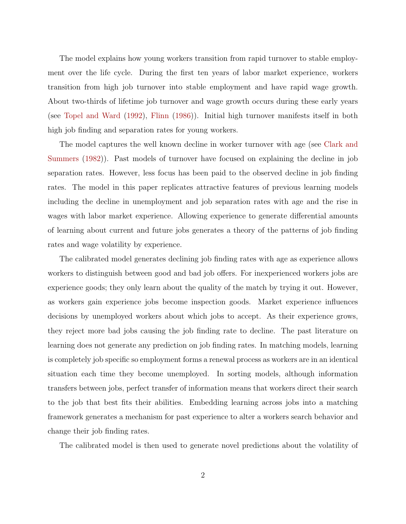The model explains how young workers transition from rapid turnover to stable employment over the life cycle. During the first ten years of labor market experience, workers transition from high job turnover into stable employment and have rapid wage growth. About two-thirds of lifetime job turnover and wage growth occurs during these early years (see [Topel and Ward](#page-37-0) [\(1992\)](#page-37-0), [Flinn](#page-36-7) [\(1986\)](#page-36-7)). Initial high turnover manifests itself in both high job finding and separation rates for young workers.

The model captures the well known decline in worker turnover with age (see [Clark and](#page-36-8) [Summers](#page-36-8) [\(1982\)](#page-36-8)). Past models of turnover have focused on explaining the decline in job separation rates. However, less focus has been paid to the observed decline in job finding rates. The model in this paper replicates attractive features of previous learning models including the decline in unemployment and job separation rates with age and the rise in wages with labor market experience. Allowing experience to generate differential amounts of learning about current and future jobs generates a theory of the patterns of job finding rates and wage volatility by experience.

The calibrated model generates declining job finding rates with age as experience allows workers to distinguish between good and bad job offers. For inexperienced workers jobs are experience goods; they only learn about the quality of the match by trying it out. However, as workers gain experience jobs become inspection goods. Market experience influences decisions by unemployed workers about which jobs to accept. As their experience grows, they reject more bad jobs causing the job finding rate to decline. The past literature on learning does not generate any prediction on job finding rates. In matching models, learning is completely job specific so employment forms a renewal process as workers are in an identical situation each time they become unemployed. In sorting models, although information transfers between jobs, perfect transfer of information means that workers direct their search to the job that best fits their abilities. Embedding learning across jobs into a matching framework generates a mechanism for past experience to alter a workers search behavior and change their job finding rates.

The calibrated model is then used to generate novel predictions about the volatility of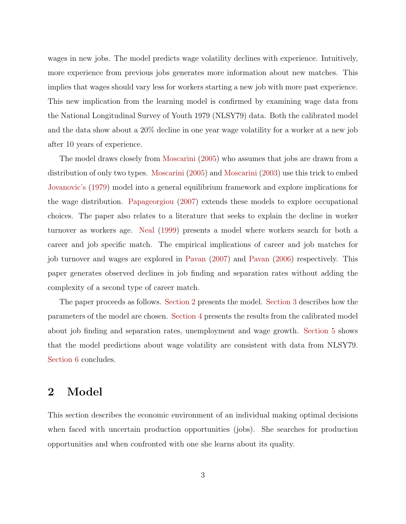wages in new jobs. The model predicts wage volatility declines with experience. Intuitively, more experience from previous jobs generates more information about new matches. This implies that wages should vary less for workers starting a new job with more past experience. This new implication from the learning model is confirmed by examining wage data from the National Longitudinal Survey of Youth 1979 (NLSY79) data. Both the calibrated model and the data show about a 20% decline in one year wage volatility for a worker at a new job after 10 years of experience.

The model draws closely from [Moscarini](#page-36-2) [\(2005\)](#page-36-2) who assumes that jobs are drawn from a distribution of only two types. [Moscarini](#page-36-2) [\(2005\)](#page-36-2) and [Moscarini](#page-36-9) [\(2003\)](#page-36-9) use this trick to embed [Jovanovic'](#page-36-0)s [\(1979\)](#page-36-0) model into a general equilibrium framework and explore implications for the wage distribution. [Papageorgiou](#page-36-4) [\(2007\)](#page-36-4) extends these models to explore occupational choices. The paper also relates to a literature that seeks to explain the decline in worker turnover as workers age. [Neal](#page-36-10) [\(1999\)](#page-36-10) presents a model where workers search for both a career and job specific match. The empirical implications of career and job matches for job turnover and wages are explored in [Pavan](#page-37-1) [\(2007\)](#page-37-1) and [Pavan](#page-37-2) [\(2006\)](#page-37-2) respectively. This paper generates observed declines in job finding and separation rates without adding the complexity of a second type of career match.

The paper proceeds as follows. [Section 2](#page-3-0) presents the model. [Section 3](#page-13-0) describes how the parameters of the model are chosen. [Section 4](#page-17-0) presents the results from the calibrated model about job finding and separation rates, unemployment and wage growth. [Section 5](#page-24-0) shows that the model predictions about wage volatility are consistent with data from NLSY79. [Section 6](#page-31-0) concludes.

## <span id="page-3-0"></span>2 Model

This section describes the economic environment of an individual making optimal decisions when faced with uncertain production opportunities (jobs). She searches for production opportunities and when confronted with one she learns about its quality.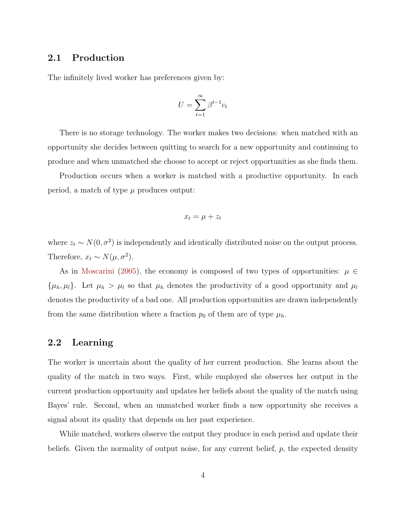#### 2.1 Production

The infinitely lived worker has preferences given by:

$$
U = \sum_{t=1}^{\infty} \beta^{t-1} c_t
$$

There is no storage technology. The worker makes two decisions: when matched with an opportunity she decides between quitting to search for a new opportunity and continuing to produce and when unmatched she choose to accept or reject opportunities as she finds them.

Production occurs when a worker is matched with a productive opportunity. In each period, a match of type  $\mu$  produces output:

$$
x_t = \mu + z_t
$$

where  $z_t \sim N(0, \sigma^2)$  is independently and identically distributed noise on the output process. Therefore,  $x_t \sim N(\mu, \sigma^2)$ .

As in [Moscarini](#page-36-2) [\(2005\)](#page-36-2), the economy is composed of two types of opportunities:  $\mu \in$  $\{\mu_h, \mu_l\}$ . Let  $\mu_h > \mu_l$  so that  $\mu_h$  denotes the productivity of a good opportunity and  $\mu_l$ denotes the productivity of a bad one. All production opportunities are drawn independently from the same distribution where a fraction  $p_0$  of them are of type  $\mu_h$ .

#### 2.2 Learning

The worker is uncertain about the quality of her current production. She learns about the quality of the match in two ways. First, while employed she observes her output in the current production opportunity and updates her beliefs about the quality of the match using Bayes' rule. Second, when an unmatched worker finds a new opportunity she receives a signal about its quality that depends on her past experience.

While matched, workers observe the output they produce in each period and update their beliefs. Given the normality of output noise, for any current belief,  $p$ , the expected density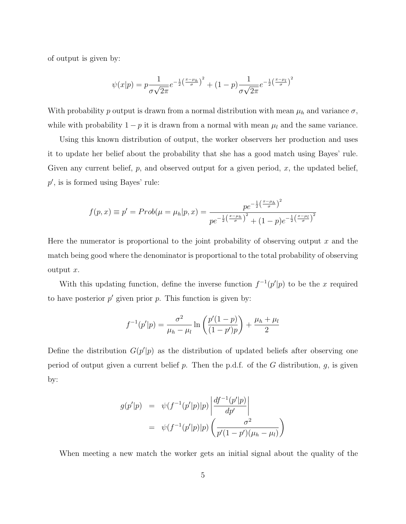of output is given by:

$$
\psi(x|p) = p \frac{1}{\sigma \sqrt{2\pi}} e^{-\frac{1}{2} \left(\frac{x-\mu_h}{\sigma}\right)^2} + (1-p) \frac{1}{\sigma \sqrt{2\pi}} e^{-\frac{1}{2} \left(\frac{x-\mu_l}{\sigma}\right)^2}
$$

With probability p output is drawn from a normal distribution with mean  $\mu_h$  and variance  $\sigma$ , while with probability  $1 - p$  it is drawn from a normal with mean  $\mu_l$  and the same variance.

Using this known distribution of output, the worker observers her production and uses it to update her belief about the probability that she has a good match using Bayes' rule. Given any current belief,  $p$ , and observed output for a given period,  $x$ , the updated belief,  $p'$ , is is formed using Bayes' rule:

$$
f(p,x) \equiv p' = Prob(\mu = \mu_h | p, x) = \frac{pe^{-\frac{1}{2}(\frac{x-\mu_h}{\sigma})^2}}{pe^{-\frac{1}{2}(\frac{x-\mu_h}{\sigma})^2} + (1-p)e^{-\frac{1}{2}(\frac{x-\mu_l}{\sigma})^2}}
$$

Here the numerator is proportional to the joint probability of observing output  $x$  and the match being good where the denominator is proportional to the total probability of observing output x.

With this updating function, define the inverse function  $f^{-1}(p'|p)$  to be the x required to have posterior  $p'$  given prior p. This function is given by:

$$
f^{-1}(p'|p) = \frac{\sigma^2}{\mu_h - \mu_l} \ln \left( \frac{p'(1-p)}{(1-p')p} \right) + \frac{\mu_h + \mu_l}{2}
$$

Define the distribution  $G(p'|p)$  as the distribution of updated beliefs after observing one period of output given a current belief  $p$ . Then the p.d.f. of the  $G$  distribution,  $g$ , is given by:

$$
g(p'|p) = \psi(f^{-1}(p'|p)|p) \left| \frac{df^{-1}(p'|p)}{dp'} \right|
$$
  
=  $\psi(f^{-1}(p'|p)|p) \left( \frac{\sigma^2}{p'(1-p')(\mu_h - \mu_l)} \right)$ 

When meeting a new match the worker gets an initial signal about the quality of the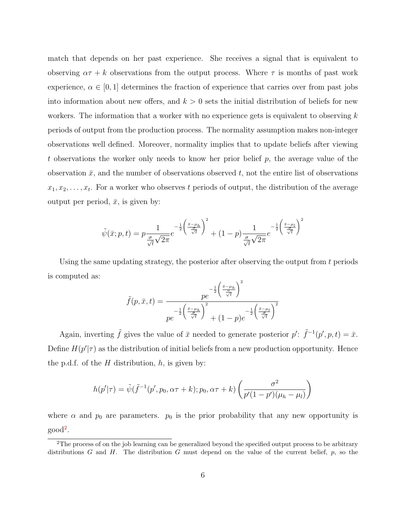match that depends on her past experience. She receives a signal that is equivalent to observing  $\alpha \tau + k$  observations from the output process. Where  $\tau$  is months of past work experience,  $\alpha \in [0, 1]$  determines the fraction of experience that carries over from past jobs into information about new offers, and  $k > 0$  sets the initial distribution of beliefs for new workers. The information that a worker with no experience gets is equivalent to observing  $k$ periods of output from the production process. The normality assumption makes non-integer observations well defined. Moreover, normality implies that to update beliefs after viewing t observations the worker only needs to know her prior belief p, the average value of the observation  $\bar{x}$ , and the number of observations observed t, not the entire list of observations  $x_1, x_2, \ldots, x_t$ . For a worker who observes t periods of output, the distribution of the average output per period,  $\bar{x}$ , is given by:

$$
\tilde{\psi}(\bar{x};p,t) = p \frac{1}{\frac{\sigma}{\sqrt{t}} \sqrt{2\pi}} e^{-\frac{1}{2} \left(\frac{\bar{x} - \mu_h}{\frac{\sigma}{\sqrt{t}}}\right)^2} + (1-p) \frac{1}{\frac{\sigma}{\sqrt{t}} \sqrt{2\pi}} e^{-\frac{1}{2} \left(\frac{\bar{x} - \mu_l}{\frac{\sigma}{\sqrt{t}}}\right)^2}
$$

Using the same updating strategy, the posterior after observing the output from t periods is computed as:

$$
\tilde{f}(p,\bar{x},t) = \frac{pe^{-\frac{1}{2}\left(\frac{\bar{x}-\mu_h}{\frac{\sigma}{\sqrt{t}}}\right)^2}}{pe^{-\frac{1}{2}\left(\frac{\bar{x}-\mu_h}{\frac{\sigma}{\sqrt{t}}}\right)^2} + (1-p)e^{-\frac{1}{2}\left(\frac{\bar{x}-\mu_l}{\frac{\sigma}{\sqrt{t}}}\right)^2}}
$$

Again, inverting  $\tilde{f}$  gives the value of  $\bar{x}$  needed to generate posterior  $p' : \tilde{f}^{-1}(p', p, t) = \bar{x}$ . Define  $H(p'|\tau)$  as the distribution of initial beliefs from a new production opportunity. Hence the p.d.f. of the  $H$  distribution,  $h$ , is given by:

$$
h(p'|\tau) = \tilde{\psi}(\tilde{f}^{-1}(p', p_0, \alpha \tau + k); p_0, \alpha \tau + k) \left( \frac{\sigma^2}{p'(1 - p')(\mu_h - \mu_l)} \right)
$$

where  $\alpha$  and  $p_0$  are parameters.  $p_0$  is the prior probability that any new opportunity is good[2](#page-6-0).

<span id="page-6-0"></span><sup>&</sup>lt;sup>2</sup>The process of on the job learning can be generalized beyond the specified output process to be arbitrary distributions G and H. The distribution G must depend on the value of the current belief,  $p$ , so the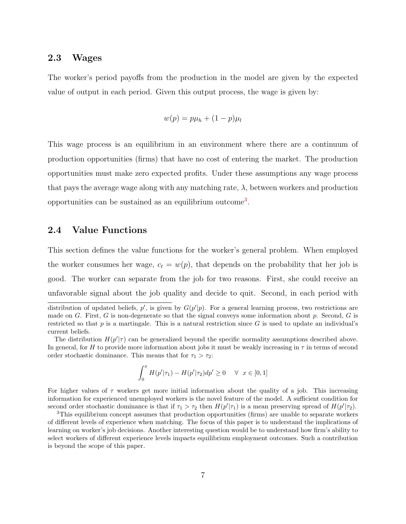#### 2.3 Wages

The worker's period payoffs from the production in the model are given by the expected value of output in each period. Given this output process, the wage is given by:

$$
w(p) = p\mu_h + (1-p)\mu_l
$$

This wage process is an equilibrium in an environment where there are a continuum of production opportunities (firms) that have no cost of entering the market. The production opportunities must make zero expected profits. Under these assumptions any wage process that pays the average wage along with any matching rate,  $\lambda$ , between workers and production opportunities can be sustained as an equilibrium outcome[3](#page-7-0).

#### 2.4 Value Functions

This section defines the value functions for the worker's general problem. When employed the worker consumes her wage,  $c_t = w(p)$ , that depends on the probability that her job is good. The worker can separate from the job for two reasons. First, she could receive an unfavorable signal about the job quality and decide to quit. Second, in each period with

$$
\int_0^x H(p'|\tau_1) - H(p'|\tau_2) dp' \ge 0 \quad \forall \ x \in [0, 1]
$$

For higher values of  $\tau$  workers get more initial information about the quality of a job. This increasing information for experienced unemployed workers is the novel feature of the model. A sufficient condition for second order stochastic dominance is that if  $\tau_1 > \tau_2$  then  $H(p'|\tau_1)$  is a mean preserving spread of  $H(p'|\tau_2)$ .

distribution of updated beliefs,  $p'$ , is given by  $G(p'|p)$ . For a general learning process, two restrictions are made on G. First, G is non-degenerate so that the signal conveys some information about p. Second, G is restricted so that  $p$  is a martingale. This is a natural restriction since  $G$  is used to update an individual's current beliefs.

The distribution  $H(p'|\tau)$  can be generalized beyond the specific normality assumptions described above. In general, for H to provide more information about jobs it must be weakly increasing in  $\tau$  in terms of second order stochastic dominance. This means that for  $\tau_1 > \tau_2$ :

<span id="page-7-0"></span><sup>&</sup>lt;sup>3</sup>This equilibrium concept assumes that production opportunities (firms) are unable to separate workers of different levels of experience when matching. The focus of this paper is to understand the implications of learning on worker's job decisions. Another interesting question would be to understand how firm's ability to select workers of different experience levels impacts equilibrium employment outcomes. Such a contribution is beyond the scope of this paper.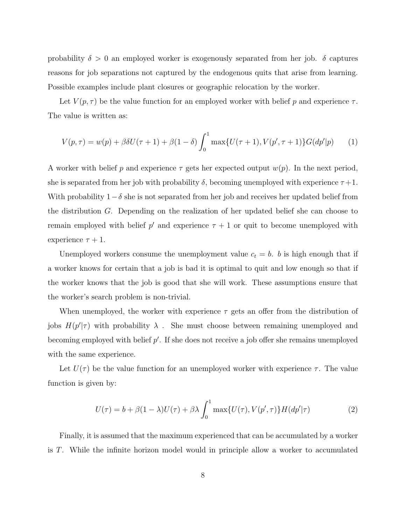probability  $\delta > 0$  an employed worker is exogenously separated from her job.  $\delta$  captures reasons for job separations not captured by the endogenous quits that arise from learning. Possible examples include plant closures or geographic relocation by the worker.

Let  $V(p, \tau)$  be the value function for an employed worker with belief p and experience  $\tau$ . The value is written as:

$$
V(p,\tau) = w(p) + \beta \delta U(\tau+1) + \beta(1-\delta) \int_0^1 \max\{U(\tau+1), V(p',\tau+1)\} G(dp'|p) \tag{1}
$$

A worker with belief p and experience  $\tau$  gets her expected output  $w(p)$ . In the next period, she is separated from her job with probability  $\delta$ , becoming unemployed with experience  $\tau+1$ . With probability  $1-\delta$  she is not separated from her job and receives her updated belief from the distribution G. Depending on the realization of her updated belief she can choose to remain employed with belief  $p'$  and experience  $\tau + 1$  or quit to become unemployed with experience  $\tau + 1$ .

Unemployed workers consume the unemployment value  $c_t = b$ . b is high enough that if a worker knows for certain that a job is bad it is optimal to quit and low enough so that if the worker knows that the job is good that she will work. These assumptions ensure that the worker's search problem is non-trivial.

When unemployed, the worker with experience  $\tau$  gets an offer from the distribution of jobs  $H(p'|\tau)$  with probability  $\lambda$ . She must choose between remaining unemployed and becoming employed with belief  $p'$ . If she does not receive a job offer she remains unemployed with the same experience.

Let  $U(\tau)$  be the value function for an unemployed worker with experience  $\tau$ . The value function is given by:

$$
U(\tau) = b + \beta(1 - \lambda)U(\tau) + \beta\lambda \int_0^1 \max\{U(\tau), V(p', \tau)\} H(dp'|\tau)
$$
 (2)

Finally, it is assumed that the maximum experienced that can be accumulated by a worker is T. While the infinite horizon model would in principle allow a worker to accumulated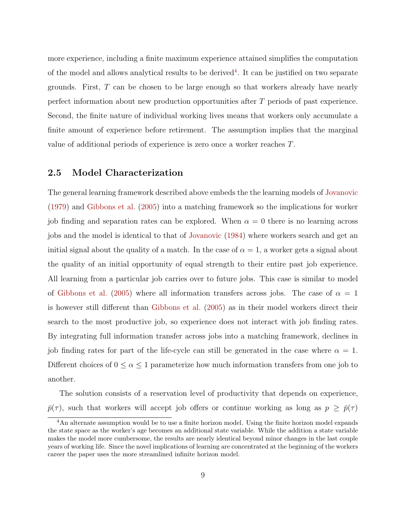more experience, including a finite maximum experience attained simplifies the computation of the model and allows analytical results to be derived<sup>[4](#page-9-0)</sup>. It can be justified on two separate grounds. First, T can be chosen to be large enough so that workers already have nearly perfect information about new production opportunities after T periods of past experience. Second, the finite nature of individual working lives means that workers only accumulate a finite amount of experience before retirement. The assumption implies that the marginal value of additional periods of experience is zero once a worker reaches T.

#### 2.5 Model Characterization

The general learning framework described above embeds the the learning models of [Jovanovic](#page-36-0) [\(1979\)](#page-36-0) and [Gibbons et al.](#page-36-1) [\(2005\)](#page-36-1) into a matching framework so the implications for worker job finding and separation rates can be explored. When  $\alpha = 0$  there is no learning across jobs and the model is identical to that of [Jovanovic](#page-36-5) [\(1984\)](#page-36-5) where workers search and get an initial signal about the quality of a match. In the case of  $\alpha = 1$ , a worker gets a signal about the quality of an initial opportunity of equal strength to their entire past job experience. All learning from a particular job carries over to future jobs. This case is similar to model of [Gibbons et al.](#page-36-1) [\(2005\)](#page-36-1) where all information transfers across jobs. The case of  $\alpha = 1$ is however still different than [Gibbons et al.](#page-36-1) [\(2005\)](#page-36-1) as in their model workers direct their search to the most productive job, so experience does not interact with job finding rates. By integrating full information transfer across jobs into a matching framework, declines in job finding rates for part of the life-cycle can still be generated in the case where  $\alpha = 1$ . Different choices of  $0 \le \alpha \le 1$  parameterize how much information transfers from one job to another.

The solution consists of a reservation level of productivity that depends on experience,  $\bar{p}(\tau)$ , such that workers will accept job offers or continue working as long as  $p \geq \bar{p}(\tau)$ 

<span id="page-9-0"></span><sup>&</sup>lt;sup>4</sup>An alternate assumption would be to use a finite horizon model. Using the finite horizon model expands the state space as the worker's age becomes an additional state variable. While the addition a state variable makes the model more cumbersome, the results are nearly identical beyond minor changes in the last couple years of working life. Since the novel implications of learning are concentrated at the beginning of the workers career the paper uses the more streamlined infinite horizon model.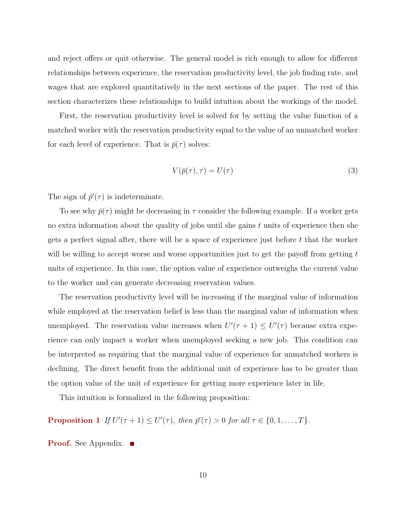and reject offers or quit otherwise. The general model is rich enough to allow for different relationships between experience, the reservation productivity level, the job finding rate, and wages that are explored quantitatively in the next sections of the paper. The rest of this section characterizes these relationships to build intuition about the workings of the model.

First, the reservation productivity level is solved for by setting the value function of a matched worker with the reservation productivity equal to the value of an unmatched worker for each level of experience. That is  $\bar{p}(\tau)$  solves:

<span id="page-10-1"></span>
$$
V(\bar{p}(\tau), \tau) = U(\tau) \tag{3}
$$

The sign of  $\bar{p}'(\tau)$  is indeterminate.

To see why  $\bar{p}(\tau)$  might be decreasing in  $\tau$  consider the following example. If a worker gets no extra information about the quality of jobs until she gains  $t$  units of experience then she gets a perfect signal after, there will be a space of experience just before  $t$  that the worker will be willing to accept worse and worse opportunities just to get the payoff from getting  $t$ units of experience. In this case, the option value of experience outweighs the current value to the worker and can generate decreasing reservation values.

The reservation productivity level will be increasing if the marginal value of information while employed at the reservation belief is less than the marginal value of information when unemployed. The reservation value increases when  $U'(\tau + 1) \leq U'(\tau)$  because extra experience can only impact a worker when unemployed seeking a new job. This condition can be interpreted as requiring that the marginal value of experience for unmatched workers is declining. The direct benefit from the additional unit of experience has to be greater than the option value of the unit of experience for getting more experience later in life.

<span id="page-10-0"></span>This intuition is formalized in the following proposition:

**Proposition 1** If  $U'(\tau + 1) \leq U'(\tau)$ , then  $\bar{p}'(\tau) > 0$  for all  $\tau \in \{0, 1, ..., T\}$ .

**Proof.** See Appendix. ■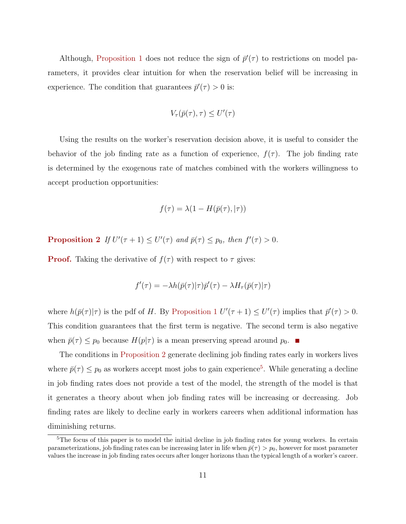Although, [Proposition 1](#page-10-0) does not reduce the sign of  $\bar{p}'(\tau)$  to restrictions on model parameters, it provides clear intuition for when the reservation belief will be increasing in experience. The condition that guarantees  $\bar{p}'(\tau) > 0$  is:

$$
V_\tau(\bar{p}(\tau),\tau) \leq U'(\tau)
$$

Using the results on the worker's reservation decision above, it is useful to consider the behavior of the job finding rate as a function of experience,  $f(\tau)$ . The job finding rate is determined by the exogenous rate of matches combined with the workers willingness to accept production opportunities:

$$
f(\tau) = \lambda(1 - H(\bar{p}(\tau), |\tau))
$$

<span id="page-11-0"></span>**Proposition 2** If  $U'(\tau + 1) \leq U'(\tau)$  and  $\bar{p}(\tau) \leq p_0$ , then  $f'(\tau) > 0$ .

**Proof.** Taking the derivative of  $f(\tau)$  with respect to  $\tau$  gives:

$$
f'(\tau) = -\lambda h(\bar{p}(\tau)|\tau)\bar{p}'(\tau) - \lambda H_{\tau}(\bar{p}(\tau)|\tau)
$$

where  $h(\bar{p}(\tau)|\tau)$  is the pdf of H. By [Proposition 1](#page-10-0)  $U'(\tau+1) \leq U'(\tau)$  implies that  $\bar{p}'(\tau) > 0$ . This condition guarantees that the first term is negative. The second term is also negative when  $\bar{p}(\tau) \leq p_0$  because  $H(p|\tau)$  is a mean preserving spread around  $p_0$ .

The conditions in [Proposition 2](#page-11-0) generate declining job finding rates early in workers lives where  $\bar{p}(\tau) \leq p_0$  as workers accept most jobs to gain experience<sup>[5](#page-11-1)</sup>. While generating a decline in job finding rates does not provide a test of the model, the strength of the model is that it generates a theory about when job finding rates will be increasing or decreasing. Job finding rates are likely to decline early in workers careers when additional information has diminishing returns.

<span id="page-11-1"></span><sup>&</sup>lt;sup>5</sup>The focus of this paper is to model the initial decline in job finding rates for young workers. In certain parameterizations, job finding rates can be increasing later in life when  $\bar{p}(\tau) > p_0$ , however for most parameter values the increase in job finding rates occurs after longer horizons than the typical length of a worker's career.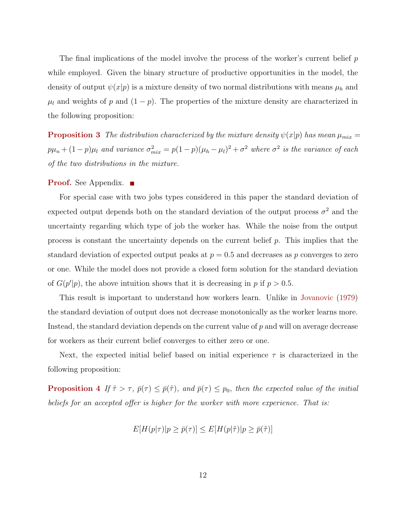The final implications of the model involve the process of the worker's current belief  $p$ while employed. Given the binary structure of productive opportunities in the model, the density of output  $\psi(x|p)$  is a mixture density of two normal distributions with means  $\mu_h$  and  $\mu_l$  and weights of p and  $(1 - p)$ . The properties of the mixture density are characterized in the following proposition:

<span id="page-12-0"></span>**Proposition 3** The distribution characterized by the mixture density  $\psi(x|p)$  has mean  $\mu_{mix} =$  $p\mu_n + (1-p)\mu_l$  and variance  $\sigma_{mix}^2 = p(1-p)(\mu_h - \mu_l)^2 + \sigma^2$  where  $\sigma^2$  is the variance of each of the two distributions in the mixture.

#### **Proof.** See Appendix. ■

For special case with two jobs types considered in this paper the standard deviation of expected output depends both on the standard deviation of the output process  $\sigma^2$  and the uncertainty regarding which type of job the worker has. While the noise from the output process is constant the uncertainty depends on the current belief  $p$ . This implies that the standard deviation of expected output peaks at  $p = 0.5$  and decreases as p converges to zero or one. While the model does not provide a closed form solution for the standard deviation of  $G(p'|p)$ , the above intuition shows that it is decreasing in p if  $p > 0.5$ .

This result is important to understand how workers learn. Unlike in [Jovanovic](#page-36-0) [\(1979\)](#page-36-0) the standard deviation of output does not decrease monotonically as the worker learns more. Instead, the standard deviation depends on the current value of  $p$  and will on average decrease for workers as their current belief converges to either zero or one.

Next, the expected initial belief based on initial experience  $\tau$  is characterized in the following proposition:

<span id="page-12-1"></span>**Proposition 4** If  $\tilde{\tau} > \tau$ ,  $\bar{p}(\tau) \leq \bar{p}(\tilde{\tau})$ , and  $\bar{p}(\tau) \leq p_0$ , then the expected value of the initial beliefs for an accepted offer is higher for the worker with more experience. That is:

$$
E[H(p|\tau)|p \ge \bar{p}(\tau)] \le E[H(p|\tilde{\tau})|p \ge \bar{p}(\tilde{\tau})]
$$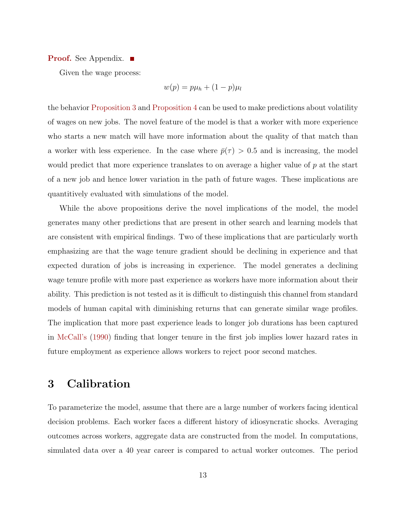#### **Proof.** See Appendix.

Given the wage process:

$$
w(p) = p\mu_h + (1 - p)\mu_l
$$

the behavior [Proposition 3](#page-12-0) and [Proposition 4](#page-12-1) can be used to make predictions about volatility of wages on new jobs. The novel feature of the model is that a worker with more experience who starts a new match will have more information about the quality of that match than a worker with less experience. In the case where  $\bar{p}(\tau) > 0.5$  and is increasing, the model would predict that more experience translates to on average a higher value of p at the start of a new job and hence lower variation in the path of future wages. These implications are quantitively evaluated with simulations of the model.

While the above propositions derive the novel implications of the model, the model generates many other predictions that are present in other search and learning models that are consistent with empirical findings. Two of these implications that are particularly worth emphasizing are that the wage tenure gradient should be declining in experience and that expected duration of jobs is increasing in experience. The model generates a declining wage tenure profile with more past experience as workers have more information about their ability. This prediction is not tested as it is difficult to distinguish this channel from standard models of human capital with diminishing returns that can generate similar wage profiles. The implication that more past experience leads to longer job durations has been captured in [McCall'](#page-36-11)s [\(1990\)](#page-36-11) finding that longer tenure in the first job implies lower hazard rates in future employment as experience allows workers to reject poor second matches.

### <span id="page-13-0"></span>3 Calibration

To parameterize the model, assume that there are a large number of workers facing identical decision problems. Each worker faces a different history of idiosyncratic shocks. Averaging outcomes across workers, aggregate data are constructed from the model. In computations, simulated data over a 40 year career is compared to actual worker outcomes. The period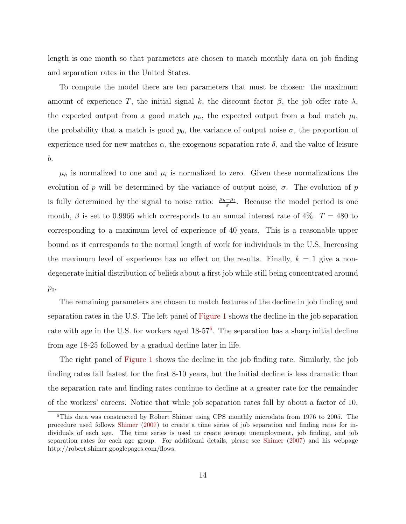length is one month so that parameters are chosen to match monthly data on job finding and separation rates in the United States.

To compute the model there are ten parameters that must be chosen: the maximum amount of experience T, the initial signal k, the discount factor  $\beta$ , the job offer rate  $\lambda$ , the expected output from a good match  $\mu_h$ , the expected output from a bad match  $\mu_l$ , the probability that a match is good  $p_0$ , the variance of output noise  $\sigma$ , the proportion of experience used for new matches  $\alpha$ , the exogenous separation rate  $\delta$ , and the value of leisure b.

 $\mu_h$  is normalized to one and  $\mu_l$  is normalized to zero. Given these normalizations the evolution of p will be determined by the variance of output noise,  $\sigma$ . The evolution of p is fully determined by the signal to noise ratio:  $\frac{\mu_h-\mu_l}{\sigma}$ . Because the model period is one month,  $\beta$  is set to 0.9966 which corresponds to an annual interest rate of 4%.  $T = 480$  to corresponding to a maximum level of experience of 40 years. This is a reasonable upper bound as it corresponds to the normal length of work for individuals in the U.S. Increasing the maximum level of experience has no effect on the results. Finally,  $k = 1$  give a nondegenerate initial distribution of beliefs about a first job while still being concentrated around  $p_0$ .

The remaining parameters are chosen to match features of the decline in job finding and separation rates in the U.S. The left panel of [Figure 1](#page-15-0) shows the decline in the job separation rate with age in the U.S. for workers aged 18-57<sup>[6](#page-14-0)</sup>. The separation has a sharp initial decline from age 18-25 followed by a gradual decline later in life.

The right panel of [Figure 1](#page-15-0) shows the decline in the job finding rate. Similarly, the job finding rates fall fastest for the first 8-10 years, but the initial decline is less dramatic than the separation rate and finding rates continue to decline at a greater rate for the remainder of the workers' careers. Notice that while job separation rates fall by about a factor of 10,

<span id="page-14-0"></span><sup>6</sup>This data was constructed by Robert Shimer using CPS monthly microdata from 1976 to 2005. The procedure used follows [Shimer](#page-37-3) [\(2007\)](#page-37-3) to create a time series of job separation and finding rates for individuals of each age. The time series is used to create average unemployment, job finding, and job separation rates for each age group. For additional details, please see [Shimer](#page-37-3) [\(2007\)](#page-37-3) and his webpage http://robert.shimer.googlepages.com/flows.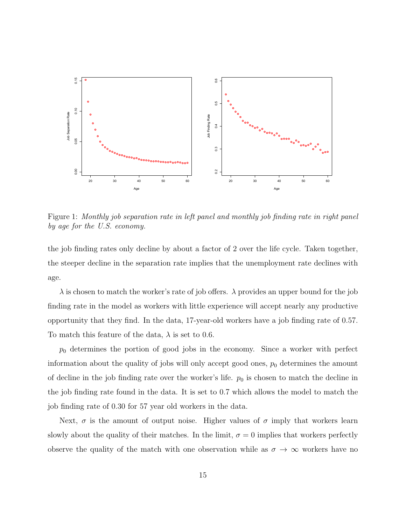

<span id="page-15-0"></span>Figure 1: Monthly job separation rate in left panel and monthly job finding rate in right panel by age for the U.S. economy.

the job finding rates only decline by about a factor of 2 over the life cycle. Taken together, the steeper decline in the separation rate implies that the unemployment rate declines with age.

 $\lambda$  is chosen to match the worker's rate of job offers.  $\lambda$  provides an upper bound for the job finding rate in the model as workers with little experience will accept nearly any productive opportunity that they find. In the data, 17-year-old workers have a job finding rate of 0.57. To match this feature of the data,  $\lambda$  is set to 0.6.

 $p_0$  determines the portion of good jobs in the economy. Since a worker with perfect information about the quality of jobs will only accept good ones,  $p_0$  determines the amount of decline in the job finding rate over the worker's life.  $p_0$  is chosen to match the decline in the job finding rate found in the data. It is set to 0.7 which allows the model to match the job finding rate of 0.30 for 57 year old workers in the data.

Next,  $\sigma$  is the amount of output noise. Higher values of  $\sigma$  imply that workers learn slowly about the quality of their matches. In the limit,  $\sigma = 0$  implies that workers perfectly observe the quality of the match with one observation while as  $\sigma \to \infty$  workers have no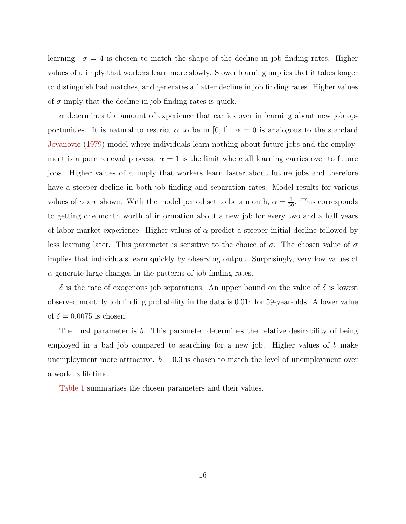learning.  $\sigma = 4$  is chosen to match the shape of the decline in job finding rates. Higher values of  $\sigma$  imply that workers learn more slowly. Slower learning implies that it takes longer to distinguish bad matches, and generates a flatter decline in job finding rates. Higher values of  $\sigma$  imply that the decline in job finding rates is quick.

 $\alpha$  determines the amount of experience that carries over in learning about new job opportunities. It is natural to restrict  $\alpha$  to be in [0, 1].  $\alpha = 0$  is analogous to the standard [Jovanovic](#page-36-0) [\(1979\)](#page-36-0) model where individuals learn nothing about future jobs and the employment is a pure renewal process.  $\alpha = 1$  is the limit where all learning carries over to future jobs. Higher values of  $\alpha$  imply that workers learn faster about future jobs and therefore have a steeper decline in both job finding and separation rates. Model results for various values of  $\alpha$  are shown. With the model period set to be a month,  $\alpha = \frac{1}{30}$ . This corresponds to getting one month worth of information about a new job for every two and a half years of labor market experience. Higher values of  $\alpha$  predict a steeper initial decline followed by less learning later. This parameter is sensitive to the choice of  $\sigma$ . The chosen value of  $\sigma$ implies that individuals learn quickly by observing output. Surprisingly, very low values of  $\alpha$  generate large changes in the patterns of job finding rates.

 $\delta$  is the rate of exogenous job separations. An upper bound on the value of  $\delta$  is lowest observed monthly job finding probability in the data is 0.014 for 59-year-olds. A lower value of  $\delta = 0.0075$  is chosen.

The final parameter is b. This parameter determines the relative desirability of being employed in a bad job compared to searching for a new job. Higher values of  $b$  make unemployment more attractive.  $b = 0.3$  is chosen to match the level of unemployment over a workers lifetime.

[Table 1](#page-17-1) summarizes the chosen parameters and their values.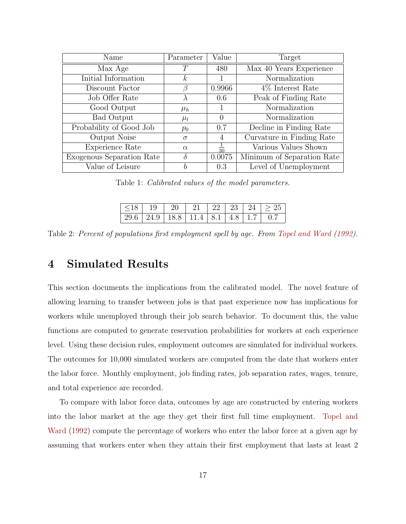| Name                      | Parameter | Value          | Target                     |
|---------------------------|-----------|----------------|----------------------------|
| Max Age                   | T         | 480            | Max 40 Years Experience    |
| Initial Information       | k,        | L              | Normalization              |
| Discount Factor           | 17        | 0.9966         | 4\% Interest Rate          |
| Job Offer Rate            |           | 0.6            | Peak of Finding Rate       |
| Good Output               | $\mu_h$   | 1              | Normalization              |
| Bad Output                | $\mu_l$   | 0              | Normalization              |
| Probability of Good Job   | $p_0$     | 0.7            | Decline in Finding Rate    |
| Output Noise              | $\sigma$  | $\overline{4}$ | Curvature in Finding Rate  |
| Experience Rate           | $\alpha$  | $rac{1}{30}$   | Various Values Shown       |
| Exogenous Separation Rate | δ         | 0.0075         | Minimum of Separation Rate |
| Value of Leisure          | h         | 0.3            | Level of Unemployment      |

<span id="page-17-1"></span>Table 1: Calibrated values of the model parameters.

|  |  |  | $ \leq 18$   19   20   21   22   23   24   $\geq 25$ |
|--|--|--|------------------------------------------------------|
|  |  |  |                                                      |

<span id="page-17-2"></span>Table 2: Percent of populations first employment spell by age. From [Topel and Ward](#page-37-0) [\(1992\)](#page-37-0).

### <span id="page-17-0"></span>4 Simulated Results

This section documents the implications from the calibrated model. The novel feature of allowing learning to transfer between jobs is that past experience now has implications for workers while unemployed through their job search behavior. To document this, the value functions are computed to generate reservation probabilities for workers at each experience level. Using these decision rules, employment outcomes are simulated for individual workers. The outcomes for 10,000 simulated workers are computed from the date that workers enter the labor force. Monthly employment, job finding rates, job separation rates, wages, tenure, and total experience are recorded.

To compare with labor force data, outcomes by age are constructed by entering workers into the labor market at the age they get their first full time employment. [Topel and](#page-37-0) [Ward](#page-37-0) [\(1992\)](#page-37-0) compute the percentage of workers who enter the labor force at a given age by assuming that workers enter when they attain their first employment that lasts at least 2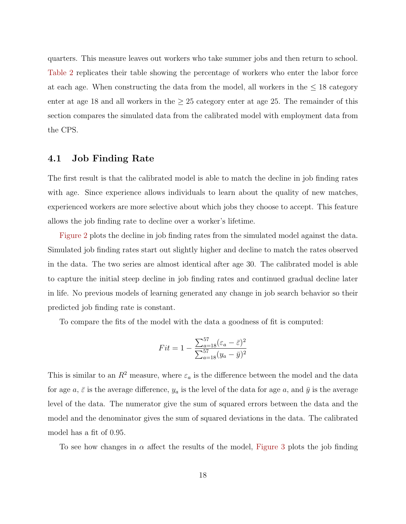quarters. This measure leaves out workers who take summer jobs and then return to school. [Table 2](#page-17-2) replicates their table showing the percentage of workers who enter the labor force at each age. When constructing the data from the model, all workers in the  $\leq 18$  category enter at age 18 and all workers in the  $\geq$  25 category enter at age 25. The remainder of this section compares the simulated data from the calibrated model with employment data from the CPS.

#### 4.1 Job Finding Rate

The first result is that the calibrated model is able to match the decline in job finding rates with age. Since experience allows individuals to learn about the quality of new matches, experienced workers are more selective about which jobs they choose to accept. This feature allows the job finding rate to decline over a worker's lifetime.

[Figure 2](#page-19-0) plots the decline in job finding rates from the simulated model against the data. Simulated job finding rates start out slightly higher and decline to match the rates observed in the data. The two series are almost identical after age 30. The calibrated model is able to capture the initial steep decline in job finding rates and continued gradual decline later in life. No previous models of learning generated any change in job search behavior so their predicted job finding rate is constant.

To compare the fits of the model with the data a goodness of fit is computed:

$$
Fit = 1 - \frac{\sum_{a=18}^{57} (\varepsilon_a - \bar{\varepsilon})^2}{\sum_{a=18}^{57} (y_a - \bar{y})^2}
$$

This is similar to an  $R^2$  measure, where  $\varepsilon_a$  is the difference between the model and the data for age  $a, \bar{\varepsilon}$  is the average difference,  $y_a$  is the level of the data for age  $a$ , and  $\bar{y}$  is the average level of the data. The numerator give the sum of squared errors between the data and the model and the denominator gives the sum of squared deviations in the data. The calibrated model has a fit of 0.95.

To see how changes in  $\alpha$  affect the results of the model, [Figure 3](#page-20-0) plots the job finding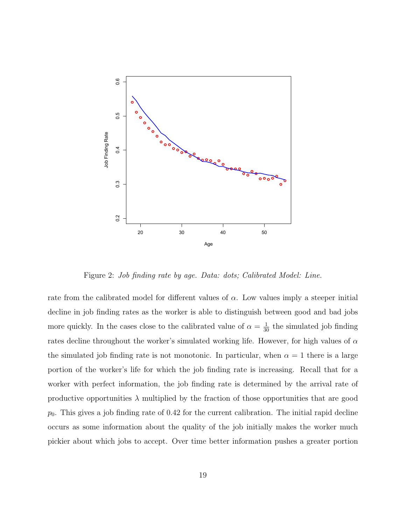

<span id="page-19-0"></span>Figure 2: Job finding rate by age. Data: dots; Calibrated Model: Line.

rate from the calibrated model for different values of  $\alpha$ . Low values imply a steeper initial decline in job finding rates as the worker is able to distinguish between good and bad jobs more quickly. In the cases close to the calibrated value of  $\alpha = \frac{1}{30}$  the simulated job finding rates decline throughout the worker's simulated working life. However, for high values of  $\alpha$ the simulated job finding rate is not monotonic. In particular, when  $\alpha = 1$  there is a large portion of the worker's life for which the job finding rate is increasing. Recall that for a worker with perfect information, the job finding rate is determined by the arrival rate of productive opportunities  $\lambda$  multiplied by the fraction of those opportunities that are good  $p<sub>0</sub>$ . This gives a job finding rate of 0.42 for the current calibration. The initial rapid decline occurs as some information about the quality of the job initially makes the worker much pickier about which jobs to accept. Over time better information pushes a greater portion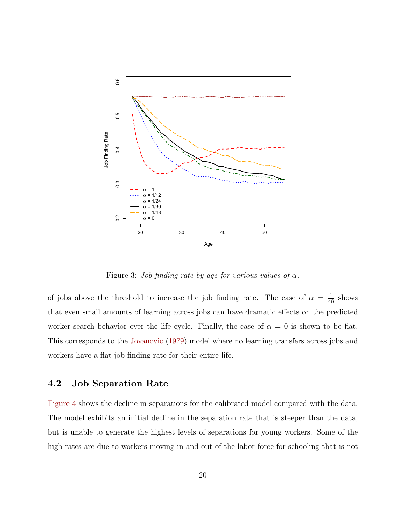

<span id="page-20-0"></span>Figure 3: Job finding rate by age for various values of  $\alpha$ .

of jobs above the threshold to increase the job finding rate. The case of  $\alpha = \frac{1}{48}$  shows that even small amounts of learning across jobs can have dramatic effects on the predicted worker search behavior over the life cycle. Finally, the case of  $\alpha = 0$  is shown to be flat. This corresponds to the [Jovanovic](#page-36-0) [\(1979\)](#page-36-0) model where no learning transfers across jobs and workers have a flat job finding rate for their entire life.

### 4.2 Job Separation Rate

[Figure 4](#page-21-0) shows the decline in separations for the calibrated model compared with the data. The model exhibits an initial decline in the separation rate that is steeper than the data, but is unable to generate the highest levels of separations for young workers. Some of the high rates are due to workers moving in and out of the labor force for schooling that is not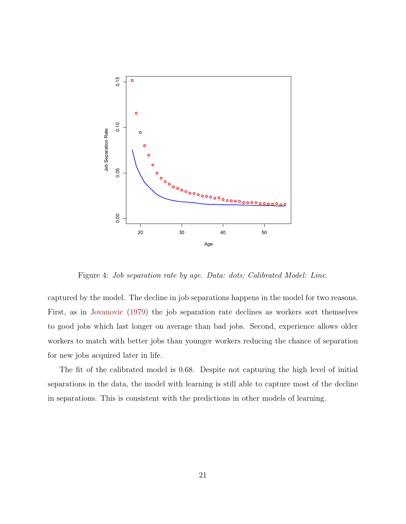

<span id="page-21-0"></span>Figure 4: Job separation rate by age. Data: dots; Calibrated Model: Line.

captured by the model. The decline in job separations happens in the model for two reasons. First, as in [Jovanovic](#page-36-0) [\(1979\)](#page-36-0) the job separation rate declines as workers sort themselves to good jobs which last longer on average than bad jobs. Second, experience allows older workers to match with better jobs than younger workers reducing the chance of separation for new jobs acquired later in life.

The fit of the calibrated model is 0.68. Despite not capturing the high level of initial separations in the data, the model with learning is still able to capture most of the decline in separations. This is consistent with the predictions in other models of learning.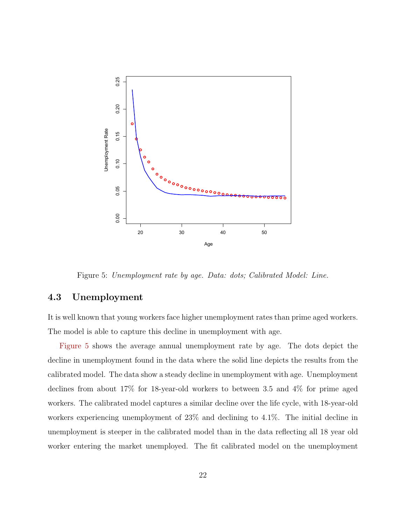

<span id="page-22-0"></span>Figure 5: Unemployment rate by age. Data: dots; Calibrated Model: Line.

#### 4.3 Unemployment

It is well known that young workers face higher unemployment rates than prime aged workers. The model is able to capture this decline in unemployment with age.

[Figure 5](#page-22-0) shows the average annual unemployment rate by age. The dots depict the decline in unemployment found in the data where the solid line depicts the results from the calibrated model. The data show a steady decline in unemployment with age. Unemployment declines from about 17% for 18-year-old workers to between 3.5 and 4% for prime aged workers. The calibrated model captures a similar decline over the life cycle, with 18-year-old workers experiencing unemployment of 23% and declining to 4.1%. The initial decline in unemployment is steeper in the calibrated model than in the data reflecting all 18 year old worker entering the market unemployed. The fit calibrated model on the unemployment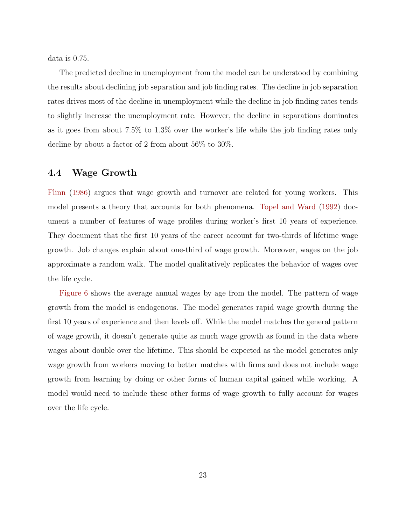data is 0.75.

The predicted decline in unemployment from the model can be understood by combining the results about declining job separation and job finding rates. The decline in job separation rates drives most of the decline in unemployment while the decline in job finding rates tends to slightly increase the unemployment rate. However, the decline in separations dominates as it goes from about 7.5% to 1.3% over the worker's life while the job finding rates only decline by about a factor of 2 from about 56% to 30%.

#### 4.4 Wage Growth

[Flinn](#page-36-7) [\(1986\)](#page-36-7) argues that wage growth and turnover are related for young workers. This model presents a theory that accounts for both phenomena. [Topel and Ward](#page-37-0) [\(1992\)](#page-37-0) document a number of features of wage profiles during worker's first 10 years of experience. They document that the first 10 years of the career account for two-thirds of lifetime wage growth. Job changes explain about one-third of wage growth. Moreover, wages on the job approximate a random walk. The model qualitatively replicates the behavior of wages over the life cycle.

[Figure 6](#page-24-1) shows the average annual wages by age from the model. The pattern of wage growth from the model is endogenous. The model generates rapid wage growth during the first 10 years of experience and then levels off. While the model matches the general pattern of wage growth, it doesn't generate quite as much wage growth as found in the data where wages about double over the lifetime. This should be expected as the model generates only wage growth from workers moving to better matches with firms and does not include wage growth from learning by doing or other forms of human capital gained while working. A model would need to include these other forms of wage growth to fully account for wages over the life cycle.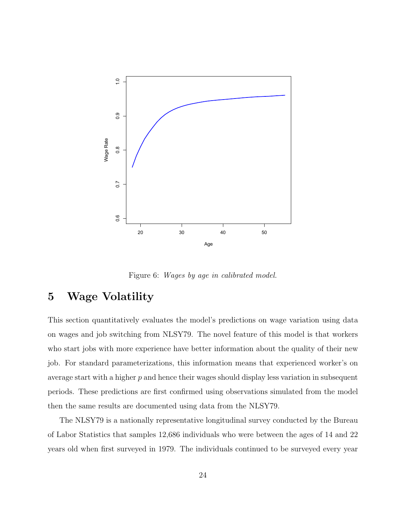

<span id="page-24-1"></span>Figure 6: Wages by age in calibrated model.

# <span id="page-24-0"></span>5 Wage Volatility

This section quantitatively evaluates the model's predictions on wage variation using data on wages and job switching from NLSY79. The novel feature of this model is that workers who start jobs with more experience have better information about the quality of their new job. For standard parameterizations, this information means that experienced worker's on average start with a higher  $p$  and hence their wages should display less variation in subsequent periods. These predictions are first confirmed using observations simulated from the model then the same results are documented using data from the NLSY79.

The NLSY79 is a nationally representative longitudinal survey conducted by the Bureau of Labor Statistics that samples 12,686 individuals who were between the ages of 14 and 22 years old when first surveyed in 1979. The individuals continued to be surveyed every year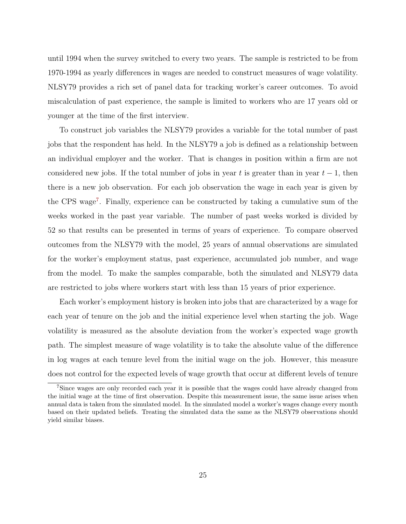until 1994 when the survey switched to every two years. The sample is restricted to be from 1970-1994 as yearly differences in wages are needed to construct measures of wage volatility. NLSY79 provides a rich set of panel data for tracking worker's career outcomes. To avoid miscalculation of past experience, the sample is limited to workers who are 17 years old or younger at the time of the first interview.

To construct job variables the NLSY79 provides a variable for the total number of past jobs that the respondent has held. In the NLSY79 a job is defined as a relationship between an individual employer and the worker. That is changes in position within a firm are not considered new jobs. If the total number of jobs in year t is greater than in year  $t-1$ , then there is a new job observation. For each job observation the wage in each year is given by the CPS wage[7](#page-25-0). Finally, experience can be constructed by taking a cumulative sum of the weeks worked in the past year variable. The number of past weeks worked is divided by 52 so that results can be presented in terms of years of experience. To compare observed outcomes from the NLSY79 with the model, 25 years of annual observations are simulated for the worker's employment status, past experience, accumulated job number, and wage from the model. To make the samples comparable, both the simulated and NLSY79 data are restricted to jobs where workers start with less than 15 years of prior experience.

Each worker's employment history is broken into jobs that are characterized by a wage for each year of tenure on the job and the initial experience level when starting the job. Wage volatility is measured as the absolute deviation from the worker's expected wage growth path. The simplest measure of wage volatility is to take the absolute value of the difference in log wages at each tenure level from the initial wage on the job. However, this measure does not control for the expected levels of wage growth that occur at different levels of tenure

<span id="page-25-0"></span><sup>&</sup>lt;sup>7</sup>Since wages are only recorded each year it is possible that the wages could have already changed from the initial wage at the time of first observation. Despite this measurement issue, the same issue arises when annual data is taken from the simulated model. In the simulated model a worker's wages change every month based on their updated beliefs. Treating the simulated data the same as the NLSY79 observations should yield similar biases.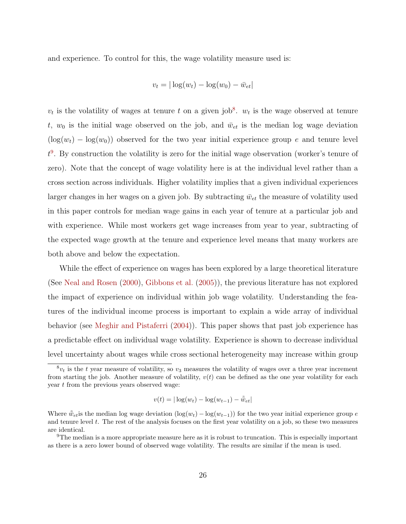and experience. To control for this, the wage volatility measure used is:

$$
v_t = |\log(w_t) - \log(w_0) - \bar{w}_{et}|
$$

 $v_t$  is the volatility of wages at tenure t on a given job<sup>[8](#page-26-0)</sup>.  $w_t$  is the wage observed at tenure t,  $w_0$  is the initial wage observed on the job, and  $\bar{w}_{et}$  is the median log wage deviation  $(\log(w_t) - \log(w_0))$  observed for the two year initial experience group e and tenure level  $t^9$  $t^9$ . By construction the volatility is zero for the initial wage observation (worker's tenure of zero). Note that the concept of wage volatility here is at the individual level rather than a cross section across individuals. Higher volatility implies that a given individual experiences larger changes in her wages on a given job. By subtracting  $\bar{w}_{et}$  the measure of volatility used in this paper controls for median wage gains in each year of tenure at a particular job and with experience. While most workers get wage increases from year to year, subtracting of the expected wage growth at the tenure and experience level means that many workers are both above and below the expectation.

While the effect of experience on wages has been explored by a large theoretical literature (See [Neal and Rosen](#page-36-6) [\(2000\)](#page-36-6), [Gibbons et al.](#page-36-1) [\(2005\)](#page-36-1)), the previous literature has not explored the impact of experience on individual within job wage volatility. Understanding the features of the individual income process is important to explain a wide array of individual behavior (see [Meghir and Pistaferri](#page-36-12) [\(2004\)](#page-36-12)). This paper shows that past job experience has a predictable effect on individual wage volatility. Experience is shown to decrease individual level uncertainty about wages while cross sectional heterogeneity may increase within group

$$
v(t) = |\log(w_t) - \log(w_{t-1}) - \tilde{w}_{et}|
$$

<span id="page-26-0"></span> ${}^8v_t$  is the t year measure of volatility, so  $v_3$  measures the volatility of wages over a three year increment from starting the job. Another measure of volatility,  $v(t)$  can be defined as the one year volatility for each year t from the previous years observed wage:

Where  $\tilde{w}_{et}$  is the median log wage deviation  $(\log(w_t) - \log(w_{t-1}))$  for the two year initial experience group e and tenure level t. The rest of the analysis focuses on the first year volatility on a job, so these two measures are identical.

<span id="page-26-1"></span><sup>9</sup>The median is a more appropriate measure here as it is robust to truncation. This is especially important as there is a zero lower bound of observed wage volatility. The results are similar if the mean is used.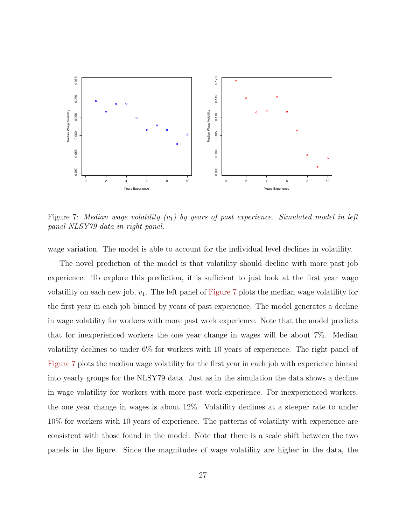

<span id="page-27-0"></span>Figure 7: Median wage volatility  $(v_1)$  by years of past experience. Simulated model in left panel NLSY79 data in right panel.

wage variation. The model is able to account for the individual level declines in volatility.

The novel prediction of the model is that volatility should decline with more past job experience. To explore this prediction, it is sufficient to just look at the first year wage volatility on each new job,  $v_1$ . The left panel of [Figure 7](#page-27-0) plots the median wage volatility for the first year in each job binned by years of past experience. The model generates a decline in wage volatility for workers with more past work experience. Note that the model predicts that for inexperienced workers the one year change in wages will be about 7%. Median volatility declines to under 6% for workers with 10 years of experience. The right panel of [Figure 7](#page-27-0) plots the median wage volatility for the first year in each job with experience binned into yearly groups for the NLSY79 data. Just as in the simulation the data shows a decline in wage volatility for workers with more past work experience. For inexperienced workers, the one year change in wages is about 12%. Volatility declines at a steeper rate to under 10% for workers with 10 years of experience. The patterns of volatility with experience are consistent with those found in the model. Note that there is a scale shift between the two panels in the figure. Since the magnitudes of wage volatility are higher in the data, the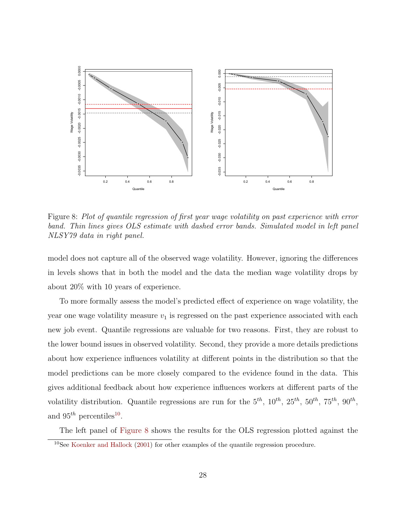

<span id="page-28-1"></span>Figure 8: Plot of quantile regression of first year wage volatility on past experience with error band. Thin lines gives OLS estimate with dashed error bands. Simulated model in left panel NLSY79 data in right panel.

model does not capture all of the observed wage volatility. However, ignoring the differences in levels shows that in both the model and the data the median wage volatility drops by about 20% with 10 years of experience.

To more formally assess the model's predicted effect of experience on wage volatility, the year one wage volatility measure  $v_1$  is regressed on the past experience associated with each new job event. Quantile regressions are valuable for two reasons. First, they are robust to the lower bound issues in observed volatility. Second, they provide a more details predictions about how experience influences volatility at different points in the distribution so that the model predictions can be more closely compared to the evidence found in the data. This gives additional feedback about how experience influences workers at different parts of the volatility distribution. Quantile regressions are run for the  $5^{th}$ ,  $10^{th}$ ,  $25^{th}$ ,  $50^{th}$ ,  $75^{th}$ ,  $90^{th}$ , and  $95^{th}$  percentiles<sup>[10](#page-28-0)</sup>.

The left panel of [Figure 8](#page-28-1) shows the results for the OLS regression plotted against the

<span id="page-28-0"></span><sup>10</sup>See [Koenker and Hallock](#page-36-13) [\(2001\)](#page-36-13) for other examples of the quantile regression procedure.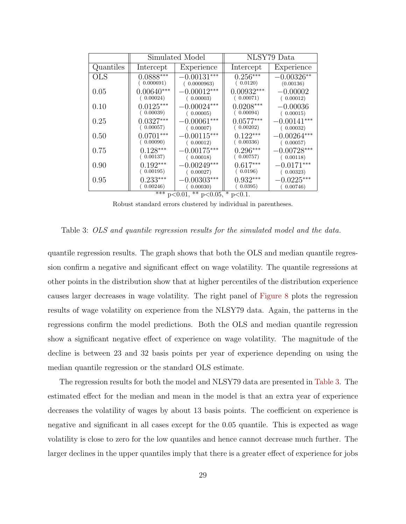|              | Simulated Model |               | NLSY79 Data  |               |  |
|--------------|-----------------|---------------|--------------|---------------|--|
| Quantiles    | Intercept       | Experience    | Intercept    | Experience    |  |
| $_{\rm OLS}$ | $0.0888***$     | $-0.00131***$ | $0.256***$   | $-0.00326**$  |  |
|              | (0.000691)      | (0.0000963)   | (0.0120)     | (0.00136)     |  |
| 0.05         | $0.00640***$    | $-0.00012***$ | $0.00932***$ | $-0.00002$    |  |
|              | (0.00024)       | (0.00003)     | (0.00071)    | (0.00012)     |  |
| 0.10         | $0.0125***$     | $-0.00024***$ | $0.0208***$  | $-0.00036$    |  |
|              | (0.00039)       | (0.00005)     | (0.00094)    | (0.00015)     |  |
| 0.25         | $0.0327***$     | $-0.00061***$ | $0.0577***$  | $-0.00141***$ |  |
|              | (0.00057)       | (0.00007)     | (0.00202)    | (0.00032)     |  |
| 0.50         | $0.0701***$     | $-0.00115***$ | $0.122***$   | $-0.00264***$ |  |
|              | (0.00090)       | (0.00012)     | (0.00336)    | (0.00057)     |  |
| 0.75         | $0.128***$      | $-0.00175***$ | $0.296***$   | $-0.00728***$ |  |
|              | (0.00137)       | (0.00018)     | (0.00757)    | (0.00118)     |  |
| 0.90         | $0.192***$      | $-0.00249***$ | $0.617***$   | $-0.0171***$  |  |
|              | (0.00195)       | (0.00027)     | (0.0196)     | (0.00323)     |  |
| 0.95         | $0.233***$      | $-0.00303***$ | $0.932***$   | $-0.0225***$  |  |
|              | 0.00246)        | (0.00030)     | (0.0395)     | (0.00746)     |  |

\*\*\* p<0.01, \*\* p<0.05, \* p<0.1.

<span id="page-29-0"></span>Robust standard errors clustered by individual in parentheses.

Table 3: OLS and quantile regression results for the simulated model and the data.

quantile regression results. The graph shows that both the OLS and median quantile regression confirm a negative and significant effect on wage volatility. The quantile regressions at other points in the distribution show that at higher percentiles of the distribution experience causes larger decreases in wage volatility. The right panel of [Figure 8](#page-28-1) plots the regression results of wage volatility on experience from the NLSY79 data. Again, the patterns in the regressions confirm the model predictions. Both the OLS and median quantile regression show a significant negative effect of experience on wage volatility. The magnitude of the decline is between 23 and 32 basis points per year of experience depending on using the median quantile regression or the standard OLS estimate.

The regression results for both the model and NLSY79 data are presented in [Table 3.](#page-29-0) The estimated effect for the median and mean in the model is that an extra year of experience decreases the volatility of wages by about 13 basis points. The coefficient on experience is negative and significant in all cases except for the 0.05 quantile. This is expected as wage volatility is close to zero for the low quantiles and hence cannot decrease much further. The larger declines in the upper quantiles imply that there is a greater effect of experience for jobs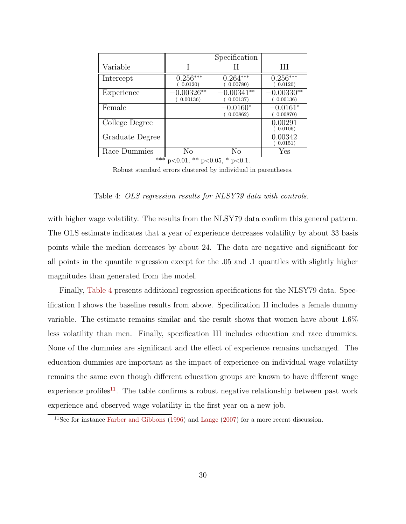|                       |                                      | Specification            |                          |
|-----------------------|--------------------------------------|--------------------------|--------------------------|
| Variable              |                                      | Н                        | Ħ                        |
| Intercept             | $0.256***$<br>0.0120)                | $0.264***$<br>0.00780)   | $0.256***$<br>(0.0120)   |
| Experience            | $-0.00326**$<br>0.00136)             | $-0.00341**$<br>0.00137) | $-0.00330**$<br>0.00136) |
| Female                |                                      | $-0.0160*$<br>0.00862)   | $-0.0161*$<br>0.00870)   |
| College Degree        |                                      |                          | 0.00291<br>0.0106        |
| Graduate Degree       |                                      |                          | 0.00342<br>0.0151)       |
| Race Dummies<br>$***$ | No<br>$0.01 \times 1005 \times 0.01$ | No                       | Yes                      |

\*\*\* p<0.01, \*\* p<0.05, \* p<0.1.

<span id="page-30-0"></span>Robust standard errors clustered by individual in parentheses.

Table 4: OLS regression results for NLSY79 data with controls.

with higher wage volatility. The results from the NLSY79 data confirm this general pattern. The OLS estimate indicates that a year of experience decreases volatility by about 33 basis points while the median decreases by about 24. The data are negative and significant for all points in the quantile regression except for the .05 and .1 quantiles with slightly higher magnitudes than generated from the model.

Finally, [Table 4](#page-30-0) presents additional regression specifications for the NLSY79 data. Specification I shows the baseline results from above. Specification II includes a female dummy variable. The estimate remains similar and the result shows that women have about 1.6% less volatility than men. Finally, specification III includes education and race dummies. None of the dummies are significant and the effect of experience remains unchanged. The education dummies are important as the impact of experience on individual wage volatility remains the same even though different education groups are known to have different wage experience profiles<sup>[11](#page-30-1)</sup>. The table confirms a robust negative relationship between past work experience and observed wage volatility in the first year on a new job.

<span id="page-30-1"></span><sup>&</sup>lt;sup>11</sup>See for instance [Farber and Gibbons](#page-36-3) [\(1996\)](#page-36-3) and [Lange](#page-36-14) [\(2007\)](#page-36-14) for a more recent discussion.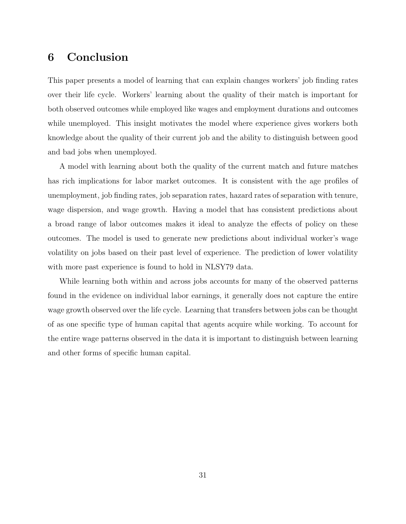## <span id="page-31-0"></span>6 Conclusion

This paper presents a model of learning that can explain changes workers' job finding rates over their life cycle. Workers' learning about the quality of their match is important for both observed outcomes while employed like wages and employment durations and outcomes while unemployed. This insight motivates the model where experience gives workers both knowledge about the quality of their current job and the ability to distinguish between good and bad jobs when unemployed.

A model with learning about both the quality of the current match and future matches has rich implications for labor market outcomes. It is consistent with the age profiles of unemployment, job finding rates, job separation rates, hazard rates of separation with tenure, wage dispersion, and wage growth. Having a model that has consistent predictions about a broad range of labor outcomes makes it ideal to analyze the effects of policy on these outcomes. The model is used to generate new predictions about individual worker's wage volatility on jobs based on their past level of experience. The prediction of lower volatility with more past experience is found to hold in NLSY79 data.

While learning both within and across jobs accounts for many of the observed patterns found in the evidence on individual labor earnings, it generally does not capture the entire wage growth observed over the life cycle. Learning that transfers between jobs can be thought of as one specific type of human capital that agents acquire while working. To account for the entire wage patterns observed in the data it is important to distinguish between learning and other forms of specific human capital.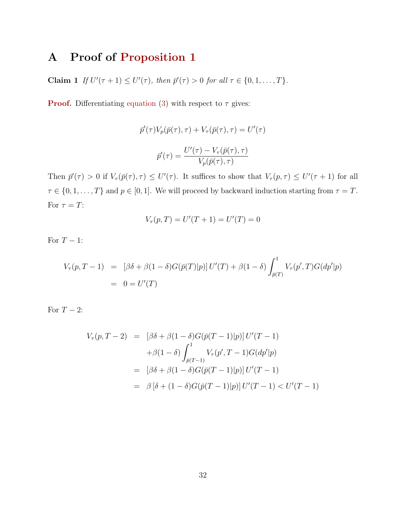# A Proof of [Proposition 1](#page-10-0)

**Claim 1** If  $U'(\tau + 1) \le U'(\tau)$ , then  $\bar{p}'(\tau) > 0$  for all  $\tau \in \{0, 1, ..., T\}$ .

**Proof.** Differentiating [equation](#page-10-1) (3) with respect to  $\tau$  gives:

$$
\bar{p}'(\tau)V_p(\bar{p}(\tau), \tau) + V_\tau(\bar{p}(\tau), \tau) = U'(\tau)
$$

$$
\bar{p}'(\tau) = \frac{U'(\tau) - V_\tau(\bar{p}(\tau), \tau)}{V_p(\bar{p}(\tau), \tau)}
$$

Then  $\bar{p}'(\tau) > 0$  if  $V_{\tau}(\bar{p}(\tau), \tau) \leq U'(\tau)$ . It suffices to show that  $V_{\tau}(p, \tau) \leq U'(\tau + 1)$  for all  $\tau \in \{0, 1, \ldots, T\}$  and  $p \in [0, 1]$ . We will proceed by backward induction starting from  $\tau = T$ . For  $\tau = T$ :

$$
V_{\tau}(p,T) = U'(T+1) = U'(T) = 0
$$

For  $T-1$ :

$$
V_{\tau}(p,T-1) = [\beta \delta + \beta (1-\delta)G(\bar{p}(T)|p)] U'(T) + \beta (1-\delta) \int_{\bar{p}(T)}^1 V_{\tau}(p',T)G(dp'|p)
$$
  
= 0 = U'(T)

For  $T-2$ :

$$
V_{\tau}(p, T-2) = [\beta \delta + \beta (1 - \delta)G(\bar{p}(T-1)|p)] U'(T-1)
$$
  
+  $\beta (1 - \delta) \int_{\bar{p}(T-1)}^{1} V_{\tau}(p', T-1)G(dp'|p)$   
=  $[\beta \delta + \beta (1 - \delta)G(\bar{p}(T-1)|p)] U'(T-1)$   
=  $\beta [\delta + (1 - \delta)G(\bar{p}(T-1)|p)] U'(T-1) < U'(T-1)$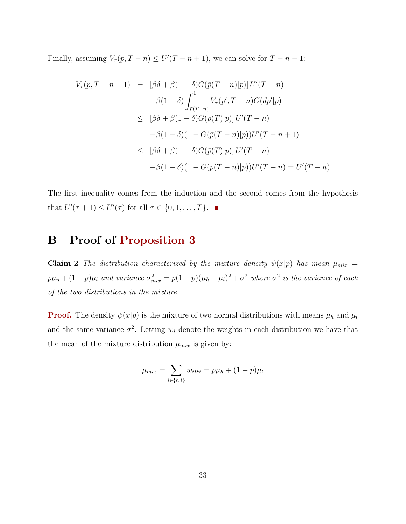Finally, assuming  $V_\tau(p, T - n) \le U'(T - n + 1)$ , we can solve for  $T - n - 1$ :

$$
V_{\tau}(p, T - n - 1) = [\beta \delta + \beta (1 - \delta) G(\bar{p}(T - n)|p)] U'(T - n)
$$
  
+  $\beta (1 - \delta) \int_{\bar{p}(T - n)}^{1} V_{\tau}(p', T - n) G(dp'|p)$   
 $\leq [\beta \delta + \beta (1 - \delta) G(\bar{p}(T)|p)] U'(T - n)$   
+  $\beta (1 - \delta) (1 - G(\bar{p}(T - n)|p)) U'(T - n + 1)$   
 $\leq [\beta \delta + \beta (1 - \delta) G(\bar{p}(T)|p)] U'(T - n)$   
+  $\beta (1 - \delta) (1 - G(\bar{p}(T - n)|p)) U'(T - n) = U'(T - n)$ 

The first inequality comes from the induction and the second comes from the hypothesis that  $U'(\tau + 1) \leq U'(\tau)$  for all  $\tau \in \{0, 1, \ldots, T\}.$ 

### B Proof of [Proposition 3](#page-12-0)

Claim 2 The distribution characterized by the mixture density  $\psi(x|p)$  has mean  $\mu_{mix}$  =  $p\mu_n + (1-p)\mu_l$  and variance  $\sigma_{mix}^2 = p(1-p)(\mu_h - \mu_l)^2 + \sigma^2$  where  $\sigma^2$  is the variance of each of the two distributions in the mixture.

**Proof.** The density  $\psi(x|p)$  is the mixture of two normal distributions with means  $\mu_h$  and  $\mu_l$ and the same variance  $\sigma^2$ . Letting  $w_i$  denote the weights in each distribution we have that the mean of the mixture distribution  $\mu_{mix}$  is given by:

$$
\mu_{mix} = \sum_{i \in \{h, l\}} w_i \mu_i = p \mu_h + (1 - p) \mu_l
$$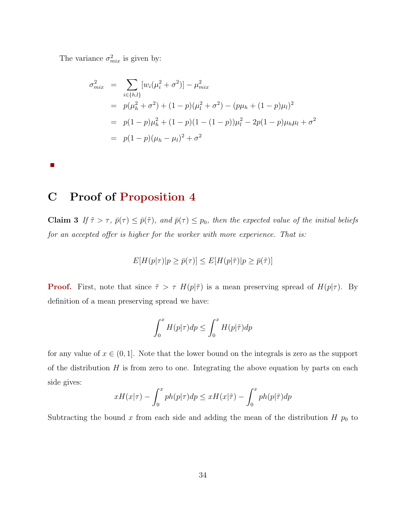The variance  $\sigma_{mix}^2$  is given by:

$$
\sigma_{mix}^2 = \sum_{i \in \{h,l\}} [w_i(\mu_i^2 + \sigma^2)] - \mu_{mix}^2
$$
  
=  $p(\mu_h^2 + \sigma^2) + (1 - p)(\mu_l^2 + \sigma^2) - (p\mu_h + (1 - p)\mu_l)^2$   
=  $p(1 - p)\mu_h^2 + (1 - p)(1 - (1 - p))\mu_l^2 - 2p(1 - p)\mu_h\mu_l + \sigma^2$   
=  $p(1 - p)(\mu_h - \mu_l)^2 + \sigma^2$ 

 $\mathbb{R}^n$ 

# C Proof of [Proposition 4](#page-12-1)

Claim 3 If  $\tilde{\tau} > \tau$ ,  $\bar{p}(\tau) \leq \bar{p}(\tilde{\tau})$ , and  $\bar{p}(\tau) \leq p_0$ , then the expected value of the initial beliefs for an accepted offer is higher for the worker with more experience. That is:

$$
E[H(p|\tau)|p \ge \bar{p}(\tau)] \le E[H(p|\tilde{\tau})|p \ge \bar{p}(\tilde{\tau})]
$$

**Proof.** First, note that since  $\tilde{\tau} > \tau$  H(p| $\tilde{\tau}$ ) is a mean preserving spread of H(p| $\tau$ ). By definition of a mean preserving spread we have:

$$
\int_0^x H(p|\tau)dp \le \int_0^x H(p|\tilde{\tau})dp
$$

for any value of  $x \in (0, 1]$ . Note that the lower bound on the integrals is zero as the support of the distribution  $H$  is from zero to one. Integrating the above equation by parts on each side gives:

$$
xH(x|\tau) - \int_0^x p h(p|\tau) dp \le xH(x|\tilde{\tau}) - \int_0^x p h(p|\tilde{\tau}) dp
$$

Subtracting the bound x from each side and adding the mean of the distribution  $H p_0$  to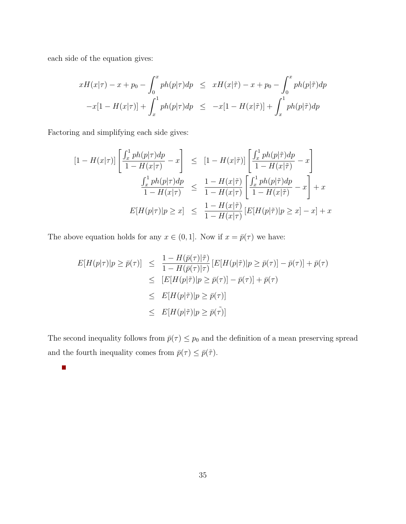each side of the equation gives:

 $\mathbb{R}^n$ 

$$
xH(x|\tau) - x + p_0 - \int_0^x p h(p|\tau) dp \le xH(x|\tilde{\tau}) - x + p_0 - \int_0^x p h(p|\tilde{\tau}) dp
$$
  

$$
-x[1 - H(x|\tau)] + \int_x^1 p h(p|\tau) dp \le -x[1 - H(x|\tilde{\tau})] + \int_x^1 p h(p|\tilde{\tau}) dp
$$

Factoring and simplifying each side gives:

$$
[1 - H(x|\tau)] \left[ \frac{\int_x^1 p h(p|\tau) dp}{1 - H(x|\tau)} - x \right] \leq [1 - H(x|\tilde{\tau})] \left[ \frac{\int_x^1 p h(p|\tilde{\tau}) dp}{1 - H(x|\tilde{\tau})} - x \right]
$$
  

$$
\frac{\int_x^1 p h(p|\tau) dp}{1 - H(x|\tau)} \leq \frac{1 - H(x|\tilde{\tau})}{1 - H(x|\tau)} \left[ \frac{\int_x^1 p h(p|\tilde{\tau}) dp}{1 - H(x|\tilde{\tau})} - x \right] + x
$$
  

$$
E[H(p|\tau)|p \geq x] \leq \frac{1 - H(x|\tilde{\tau})}{1 - H(x|\tau)} [E[H(p|\tilde{\tau})|p \geq x] - x] + x
$$

The above equation holds for any  $x \in (0, 1]$ . Now if  $x = \bar{p}(\tau)$  we have:

$$
E[H(p|\tau)|p \geq \bar{p}(\tau)] \leq \frac{1 - H(\bar{p}(\tau)|\tilde{\tau})}{1 - H(\bar{p}(\tau)|\tau)} [E[H(p|\tilde{\tau})|p \geq \bar{p}(\tau)] - \bar{p}(\tau)] + \bar{p}(\tau)
$$
  

$$
\leq [E[H(p|\tilde{\tau})|p \geq \bar{p}(\tau)] - \bar{p}(\tau)] + \bar{p}(\tau)
$$
  

$$
\leq E[H(p|\tilde{\tau})|p \geq \bar{p}(\tau)]
$$
  

$$
\leq E[H(p|\tilde{\tau})|p \geq \bar{p}(\tilde{\tau})]
$$

The second inequality follows from  $\bar{p}(\tau) \leq p_0$  and the definition of a mean preserving spread and the fourth inequality comes from  $\bar{p}(\tau) \leq \bar{p}(\tilde{\tau})$ .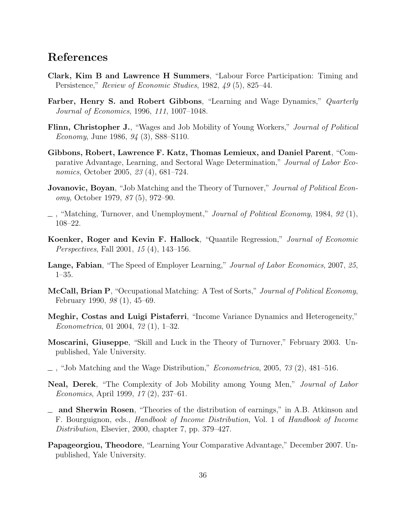### References

- <span id="page-36-8"></span>Clark, Kim B and Lawrence H Summers, "Labour Force Participation: Timing and Persistence," Review of Economic Studies, 1982, 49 (5), 825–44.
- <span id="page-36-3"></span>Farber, Henry S. and Robert Gibbons, "Learning and Wage Dynamics," Quarterly Journal of Economics, 1996, 111, 1007–1048.
- <span id="page-36-7"></span>Flinn, Christopher J., "Wages and Job Mobility of Young Workers," Journal of Political Economy, June 1986, 94 (3), S88–S110.
- <span id="page-36-1"></span>Gibbons, Robert, Lawrence F. Katz, Thomas Lemieux, and Daniel Parent, "Comparative Advantage, Learning, and Sectoral Wage Determination," Journal of Labor Economics, October 2005, 23 (4), 681–724.
- <span id="page-36-0"></span>**Jovanovic, Boyan**, "Job Matching and the Theory of Turnover," *Journal of Political Econ*omy, October 1979, 87 (5), 972–90.
- <span id="page-36-5"></span> $\Box$ , "Matching, Turnover, and Unemployment," Journal of Political Economy, 1984, 92 (1), 108–22.
- <span id="page-36-13"></span>Koenker, Roger and Kevin F. Hallock, "Quantile Regression," Journal of Economic Perspectives, Fall 2001, 15 (4), 143–156.
- <span id="page-36-14"></span>Lange, Fabian, "The Speed of Employer Learning," Journal of Labor Economics, 2007, 25, 1–35.
- <span id="page-36-11"></span>McCall, Brian P, "Occupational Matching: A Test of Sorts," Journal of Political Economy, February 1990, 98 (1), 45–69.
- <span id="page-36-12"></span>Meghir, Costas and Luigi Pistaferri, "Income Variance Dynamics and Heterogeneity," Econometrica, 01 2004, 72 (1), 1–32.
- <span id="page-36-9"></span>Moscarini, Giuseppe, "Skill and Luck in the Theory of Turnover," February 2003. Unpublished, Yale University.
- <span id="page-36-2"></span> $\sim$ , "Job Matching and the Wage Distribution," *Econometrica*, 2005, 73 (2), 481–516.
- <span id="page-36-10"></span>Neal, Derek, "The Complexity of Job Mobility among Young Men," Journal of Labor Economics, April 1999, 17 (2), 237–61.
- <span id="page-36-6"></span>and Sherwin Rosen, "Theories of the distribution of earnings," in A.B. Atkinson and F. Bourguignon, eds., Handbook of Income Distribution, Vol. 1 of Handbook of Income Distribution, Elsevier, 2000, chapter 7, pp. 379–427.
- <span id="page-36-4"></span>Papageorgiou, Theodore, "Learning Your Comparative Advantage," December 2007. Unpublished, Yale University.